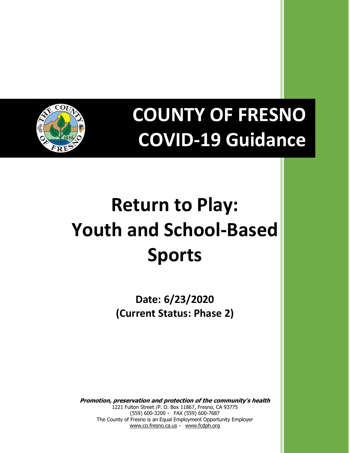

## **COUNTY OF FRESNO COVID-19 Guidance**

# **Return to Play: Youth and School-Based Sports**

**Date: 6/23/2020 (Current Status: Phase 2)**

**Promotion, preservation and protection of the community's health** 1221 Fulton Street /P. O. Box 11867, Fresno, CA 93775 (559) 600-3200 FAX (559) 600-7687 The County of Fresno is an Equal Employment Opportunity Employer [www.co.fresno.ca.us](http://www.co.fresno.ca.us/) [www.fcdph.org](http://www.fcdph.org/)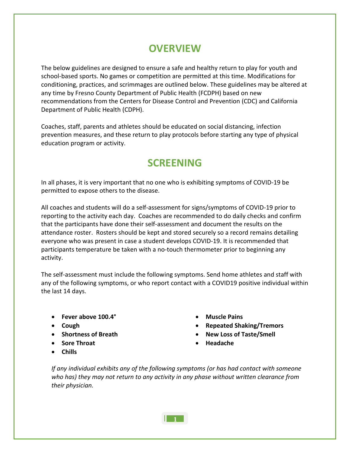## **OVERVIEW**

The below guidelines are designed to ensure a safe and healthy return to play for youth and school-based sports. No games or competition are permitted at this time. Modifications for conditioning, practices, and scrimmages are outlined below. These guidelines may be altered at any time by Fresno County Department of Public Health (FCDPH) based on new recommendations from the Centers for Disease Control and Prevention (CDC) and California Department of Public Health (CDPH).

Coaches, staff, parents and athletes should be educated on social distancing, infection prevention measures, and these return to play protocols before starting any type of physical education program or activity.

## **SCREENING**

In all phases, it is very important that no one who is exhibiting symptoms of COVID-19 be permitted to expose others to the disease.

All coaches and students will do a self-assessment for signs/symptoms of COVID-19 prior to reporting to the activity each day. Coaches are recommended to do daily checks and confirm that the participants have done their self-assessment and document the results on the attendance roster. Rosters should be kept and stored securely so a record remains detailing everyone who was present in case a student develops COVID-19. It is recommended that participants temperature be taken with a no-touch thermometer prior to beginning any activity.

The self-assessment must include the following symptoms. Send home athletes and staff with any of the following symptoms, or who report contact with a COVID19 positive individual within the last 14 days.

- **Fever above 100.4°**
- **Cough**
- **Shortness of Breath**
- **Sore Throat**
- **Chills**
- **Muscle Pains**
- **Repeated Shaking/Tremors**
- **New Loss of Taste/Smell**
- **Headache**

*If any individual exhibits any of the following symptoms (or has had contact with someone who has) they may not return to any activity in any phase without written clearance from their physician.* 

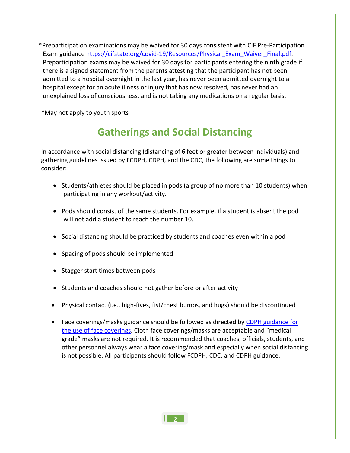\*Preparticipation examinations may be waived for 30 days consistent with CIF Pre-Participation Exam guidance [https://cifstate.org/covid-19/Resources/Physical\\_Exam\\_Waiver\\_Final.pdf.](https://cifstate.org/covid-19/Resources/Physical_Exam_Waiver_Final.pdf) Preparticipation exams may be waived for 30 days for participants entering the ninth grade if there is a signed statement from the parents attesting that the participant has not been admitted to a hospital overnight in the last year, has never been admitted overnight to a hospital except for an acute illness or injury that has now resolved, has never had an unexplained loss of consciousness, and is not taking any medications on a regular basis.

\*May not apply to youth sports

## **Gatherings and Social Distancing**

In accordance with social distancing (distancing of 6 feet or greater between individuals) and gathering guidelines issued by FCDPH, CDPH, and the CDC, the following are some things to consider:

- Students/athletes should be placed in pods (a group of no more than 10 students) when participating in any workout/activity.
- Pods should consist of the same students. For example, if a student is absent the pod will not add a student to reach the number 10.
- Social distancing should be practiced by students and coaches even within a pod
- Spacing of pods should be implemented
- Stagger start times between pods
- Students and coaches should not gather before or after activity
- Physical contact (i.e., high-fives, fist/chest bumps, and hugs) should be discontinued
- Face coverings/masks guidance should be followed as directed by [CDPH guidance for](https://www.cdph.ca.gov/Programs/CID/DCDC/CDPH%20Document%20Library/COVID-19/Guidance-for-Face-Coverings_06-18-2020.pdf)  [the use of face coverings.](https://www.cdph.ca.gov/Programs/CID/DCDC/CDPH%20Document%20Library/COVID-19/Guidance-for-Face-Coverings_06-18-2020.pdf) Cloth face coverings/masks are acceptable and "medical grade" masks are not required. It is recommended that coaches, officials, students, and other personnel always wear a face covering/mask and especially when social distancing is not possible. All participants should follow FCDPH, CDC, and CDPH guidance.

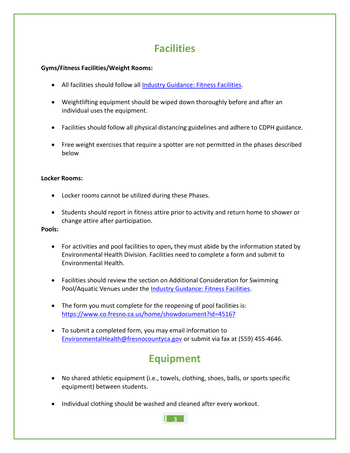## **Facilities**

#### **Gyms/Fitness Facilities/Weight Rooms:**

- All facilities should follow all [Industry Guidance: Fitness Facilities.](https://covid19.ca.gov/pdf/guidance-fitness.pdf)
- Weightlifting equipment should be wiped down thoroughly before and after an individual uses the equipment.
- Facilities should follow all physical distancing guidelines and adhere to CDPH guidance.
- Free weight exercises that require a spotter are not permitted in the phases described below

#### **Locker Rooms:**

- Locker rooms cannot be utilized during these Phases.
- Students should report in fitness attire prior to activity and return home to shower or change attire after participation.

#### **Pools:**

- For activities and pool facilities to open**,** they must abide by the information stated by Environmental Health Division. Facilities need to complete a form and submit to Environmental Health.
- Facilities should review the section on Additional Consideration for Swimming Pool/Aquatic Venues under th[e Industry Guidance: Fitness Facilities.](https://covid19.ca.gov/pdf/guidance-fitness.pdf)
- The form you must complete for the reopening of pool facilities is: <https://www.co.fresno.ca.us/home/showdocument?id=45167>
- To submit a completed form, you may email information to [EnvironmentalHealth@fresnocountyca.gov](mailto:EnvironmentalHealth@fresnocountyca.gov) or submit via fax at (559) 455-4646.

## **Equipment**

- No shared athletic equipment (i.e., towels, clothing, shoes, balls, or sports specific equipment) between students.
- Individual clothing should be washed and cleaned after every workout.

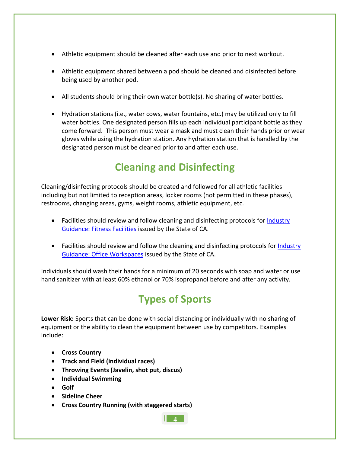- Athletic equipment should be cleaned after each use and prior to next workout.
- Athletic equipment shared between a pod should be cleaned and disinfected before being used by another pod.
- All students should bring their own water bottle(s). No sharing of water bottles.
- Hydration stations (i.e., water cows, water fountains, etc.) may be utilized only to fill water bottles. One designated person fills up each individual participant bottle as they come forward. This person must wear a mask and must clean their hands prior or wear gloves while using the hydration station. Any hydration station that is handled by the designated person must be cleaned prior to and after each use.

## **Cleaning and Disinfecting**

Cleaning/disinfecting protocols should be created and followed for all athletic facilities including but not limited to reception areas, locker rooms (not permitted in these phases), restrooms, changing areas, gyms, weight rooms, athletic equipment, etc.

- Facilities should review and follow cleaning and disinfecting protocols for Industry [Guidance: Fitness Facilities](https://covid19.ca.gov/pdf/guidance-fitness.pdf) issued by the State of CA.
- Facilities should review and follow the cleaning and disinfecting protocols for Industry [Guidance: Office Workspaces](https://covid19.ca.gov/pdf/guidance-office-workspaces.pdf) issued by the State of CA.

Individuals should wash their hands for a minimum of 20 seconds with soap and water or use hand sanitizer with at least 60% ethanol or 70% isopropanol before and after any activity.

## **Types of Sports**

**Lower Risk:** Sports that can be done with social distancing or individually with no sharing of equipment or the ability to clean the equipment between use by competitors. Examples include:

**4**

- **Cross Country**
- **Track and Field (individual races)**
- **Throwing Events (Javelin, shot put, discus)**
- **Individual Swimming**
- **Golf**
- **Sideline Cheer**
- **Cross Country Running (with staggered starts)**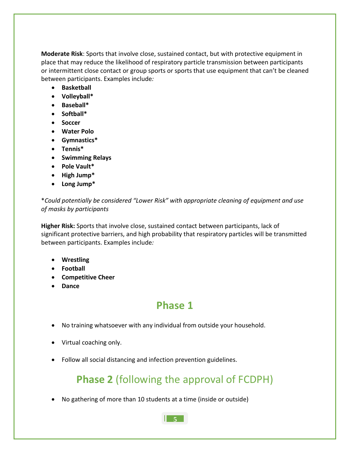**Moderate Risk**: Sports that involve close, sustained contact, but with protective equipment in place that may reduce the likelihood of respiratory particle transmission between participants or intermittent close contact or group sports or sports that use equipment that can't be cleaned between participants. Examples include*:* 

- **Basketball**
- **Volleyball\***
- **Baseball\***
- **Softball\***
- **Soccer**
- **Water Polo**
- **Gymnastics\***
- **Tennis\***
- **Swimming Relays**
- **Pole Vault\***
- **High Jump\***
- **Long Jump\***

\**Could potentially be considered "Lower Risk" with appropriate cleaning of equipment and use of masks by participants*

**Higher Risk:** Sports that involve close, sustained contact between participants, lack of significant protective barriers, and high probability that respiratory particles will be transmitted between participants. Examples include*:* 

- **Wrestling**
- **Football**
- **Competitive Cheer**
- **Dance**

## **Phase 1**

- No training whatsoever with any individual from outside your household.
- Virtual coaching only.
- Follow all social distancing and infection prevention guidelines.

## **Phase 2** (following the approval of FCDPH)

• No gathering of more than 10 students at a time (inside or outside)

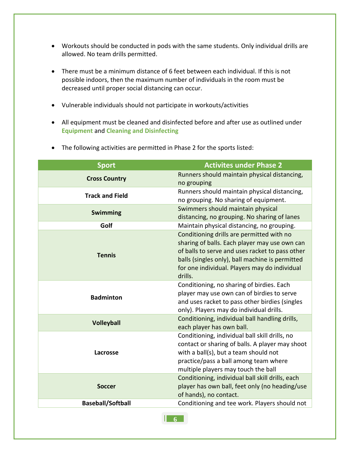- Workouts should be conducted in pods with the same students. Only individual drills are allowed. No team drills permitted.
- There must be a minimum distance of 6 feet between each individual. If this is not possible indoors, then the maximum number of individuals in the room must be decreased until proper social distancing can occur.
- Vulnerable individuals should not participate in workouts/activities
- All equipment must be cleaned and disinfected before and after use as outlined under **Equipment** and **Cleaning and Disinfecting**

| <b>Sport</b>             | <b>Activites under Phase 2</b>                                                                                                                                                                                                                               |
|--------------------------|--------------------------------------------------------------------------------------------------------------------------------------------------------------------------------------------------------------------------------------------------------------|
| <b>Cross Country</b>     | Runners should maintain physical distancing,<br>no grouping                                                                                                                                                                                                  |
| <b>Track and Field</b>   | Runners should maintain physical distancing,<br>no grouping. No sharing of equipment.                                                                                                                                                                        |
| <b>Swimming</b>          | Swimmers should maintain physical<br>distancing, no grouping. No sharing of lanes                                                                                                                                                                            |
| Golf                     | Maintain physical distancing, no grouping.                                                                                                                                                                                                                   |
| <b>Tennis</b>            | Conditioning drills are permitted with no<br>sharing of balls. Each player may use own can<br>of balls to serve and uses racket to pass other<br>balls (singles only), ball machine is permitted<br>for one individual. Players may do individual<br>drills. |
| <b>Badminton</b>         | Conditioning, no sharing of birdies. Each<br>player may use own can of birdies to serve<br>and uses racket to pass other birdies (singles<br>only). Players may do individual drills.                                                                        |
| <b>Volleyball</b>        | Conditioning, individual ball handling drills,<br>each player has own ball.                                                                                                                                                                                  |
| Lacrosse                 | Conditioning, individual ball skill drills, no<br>contact or sharing of balls. A player may shoot<br>with a ball(s), but a team should not<br>practice/pass a ball among team where<br>multiple players may touch the ball                                   |
| <b>Soccer</b>            | Conditioning, individual ball skill drills, each<br>player has own ball, feet only (no heading/use<br>of hands), no contact.                                                                                                                                 |
| <b>Baseball/Softball</b> | Conditioning and tee work. Players should not                                                                                                                                                                                                                |

**6**

• The following activities are permitted in Phase 2 for the sports listed: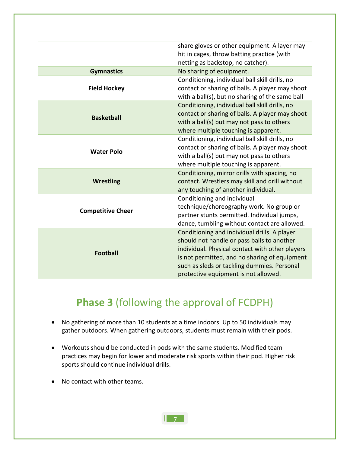|                          | share gloves or other equipment. A layer may<br>hit in cages, throw batting practice (with<br>netting as backstop, no catcher).                                                                                                                                                       |
|--------------------------|---------------------------------------------------------------------------------------------------------------------------------------------------------------------------------------------------------------------------------------------------------------------------------------|
| <b>Gymnastics</b>        | No sharing of equipment.                                                                                                                                                                                                                                                              |
| <b>Field Hockey</b>      | Conditioning, individual ball skill drills, no<br>contact or sharing of balls. A player may shoot<br>with a ball(s), but no sharing of the same ball                                                                                                                                  |
| <b>Basketball</b>        | Conditioning, individual ball skill drills, no<br>contact or sharing of balls. A player may shoot<br>with a ball(s) but may not pass to others<br>where multiple touching is apparent.                                                                                                |
| <b>Water Polo</b>        | Conditioning, individual ball skill drills, no<br>contact or sharing of balls. A player may shoot<br>with a ball(s) but may not pass to others<br>where multiple touching is apparent.                                                                                                |
| <b>Wrestling</b>         | Conditioning, mirror drills with spacing, no<br>contact. Wrestlers may skill and drill without<br>any touching of another individual.                                                                                                                                                 |
| <b>Competitive Cheer</b> | Conditioning and individual<br>technique/choreography work. No group or<br>partner stunts permitted. Individual jumps,<br>dance, tumbling without contact are allowed.                                                                                                                |
| <b>Football</b>          | Conditioning and individual drills. A player<br>should not handle or pass balls to another<br>individual. Physical contact with other players<br>is not permitted, and no sharing of equipment<br>such as sleds or tackling dummies. Personal<br>protective equipment is not allowed. |

## **Phase 3** (following the approval of FCDPH)

- No gathering of more than 10 students at a time indoors. Up to 50 individuals may gather outdoors. When gathering outdoors, students must remain with their pods.
- Workouts should be conducted in pods with the same students. Modified team practices may begin for lower and moderate risk sports within their pod. Higher risk sports should continue individual drills.
- No contact with other teams.

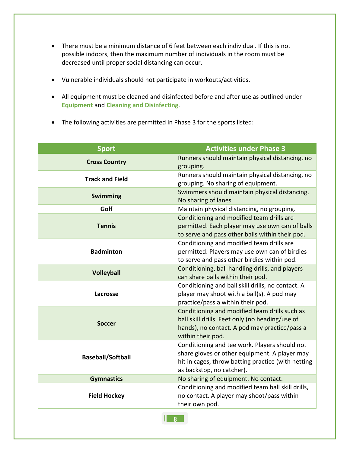- There must be a minimum distance of 6 feet between each individual. If this is not possible indoors, then the maximum number of individuals in the room must be decreased until proper social distancing can occur.
- Vulnerable individuals should not participate in workouts/activities.
- All equipment must be cleaned and disinfected before and after use as outlined under **Equipment** and **Cleaning and Disinfecting**.
- The following activities are permitted in Phase 3 for the sports listed:

| <b>Sport</b>             | <b>Activities under Phase 3</b>                                                                                                                                                   |
|--------------------------|-----------------------------------------------------------------------------------------------------------------------------------------------------------------------------------|
| <b>Cross Country</b>     | Runners should maintain physical distancing, no<br>grouping.                                                                                                                      |
| <b>Track and Field</b>   | Runners should maintain physical distancing, no<br>grouping. No sharing of equipment.                                                                                             |
| <b>Swimming</b>          | Swimmers should maintain physical distancing.<br>No sharing of lanes                                                                                                              |
| Golf                     | Maintain physical distancing, no grouping.                                                                                                                                        |
| <b>Tennis</b>            | Conditioning and modified team drills are<br>permitted. Each player may use own can of balls<br>to serve and pass other balls within their pod.                                   |
| <b>Badminton</b>         | Conditioning and modified team drills are<br>permitted. Players may use own can of birdies<br>to serve and pass other birdies within pod.                                         |
| <b>Volleyball</b>        | Conditioning, ball handling drills, and players<br>can share balls within their pod.                                                                                              |
| Lacrosse                 | Conditioning and ball skill drills, no contact. A<br>player may shoot with a ball(s). A pod may<br>practice/pass a within their pod.                                              |
| <b>Soccer</b>            | Conditioning and modified team drills such as<br>ball skill drills. Feet only (no heading/use of<br>hands), no contact. A pod may practice/pass a<br>within their pod.            |
| <b>Baseball/Softball</b> | Conditioning and tee work. Players should not<br>share gloves or other equipment. A player may<br>hit in cages, throw batting practice (with netting<br>as backstop, no catcher). |
| <b>Gymnastics</b>        | No sharing of equipment. No contact.                                                                                                                                              |
| <b>Field Hockey</b>      | Conditioning and modified team ball skill drills,<br>no contact. A player may shoot/pass within<br>their own pod.                                                                 |

**8**